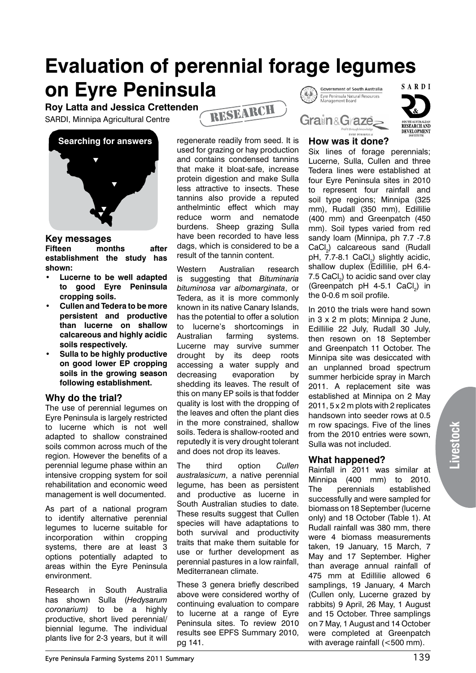### **Evaluation of perennial forage legumes on Eyre Peninsula** SARDI **Government of South Australia**

**Roy Latta and Jessica Crettenden**

SARDI, Minnipa Agricultural Centre



#### **Key messages**

**Fifteen months after establishment the study has shown:**

- **• Lucerne to be well adapted to good Eyre Peninsula cropping soils.**
- **• Cullen and Tedera to be more persistent and productive than lucerne on shallow calcareous and highly acidic soils respectively.**
- **• Sulla to be highly productive on good lower EP cropping soils in the growing season following establishment.**

# **Why do the trial?**

The use of perennial legumes on Eyre Peninsula is largely restricted to lucerne which is not well adapted to shallow constrained soils common across much of the region. However the benefits of a perennial legume phase within an intensive cropping system for soil rehabilitation and economic weed management is well documented.

As part of a national program to identify alternative perennial legumes to lucerne suitable for incorporation within cropping systems, there are at least 3 options potentially adapted to areas within the Eyre Peninsula environment.

Research in South Australia has shown Sulla (*Hedysarum coronarium)* to be a highly productive, short lived perennial/ biennial legume. The individual plants live for 2-3 years, but it will regenerate readily from seed. It is used for grazing or hay production and contains condensed tannins that make it bloat-safe, increase protein digestion and make Sulla less attractive to insects. These tannins also provide a reputed anthelmintic effect which may reduce worm and nematode burdens. Sheep grazing Sulla have been recorded to have less dags, which is considered to be a result of the tannin content.

research

Western Australian research is suggesting that *Bituminaria bituminosa var albomarginata*, or Tedera, as it is more commonly known in its native Canary Islands, has the potential to offer a solution to lucerne's shortcomings in Australian farming systems. Lucerne may survive summer drought by its deep roots accessing a water supply and decreasing evaporation by shedding its leaves. The result of this on many EP soils is that fodder quality is lost with the dropping of the leaves and often the plant dies in the more constrained, shallow soils. Tedera is shallow-rooted and reputedly it is very drought tolerant and does not drop its leaves.

The third option *Cullen australasicum*, a native perennial legume, has been as persistent and productive as lucerne in South Australian studies to date. These results suggest that Cullen species will have adaptations to both survival and productivity traits that make them suitable for use or further development as perennial pastures in a low rainfall, Mediterranean climate.

These 3 genera briefly described above were considered worthy of continuing evaluation to compare to lucerne at a range of Eyre Peninsula sites. To review 2010 results see EPFS Summary 2010, pg 141.



Grain&Graze



### **How was it done?**

**WARE INTERFERING** 

Six lines of forage perennials; Lucerne, Sulla, Cullen and three Tedera lines were established at four Eyre Peninsula sites in 2010 to represent four rainfall and soil type regions; Minnipa (325 mm), Rudall (350 mm), Edillilie (400 mm) and Greenpatch (450 mm). Soil types varied from red sandy loam (Minnipa, ph 7.7 -7.8 CaCl<sub>2</sub>) calcareous sand (Rudall pH, 7.7-8.1  $CaCl<sub>2</sub>$ ) slightly acidic, shallow duplex (Edillilie, pH 6.4- 7.5  $\textsf{CaCl}_{2}$ ) to acidic sand over clay (Greenpatch pH 4-5.1 CaCl<sub>2</sub>) in the 0-0.6 m soil profile.

In 2010 the trials were hand sown in 3 x 2 m plots; Minnipa 2 June, Edillilie 22 July, Rudall 30 July, then resown on 18 September and Greenpatch 11 October. The Minnipa site was desiccated with an unplanned broad spectrum summer herbicide spray in March 2011. A replacement site was established at Minnipa on 2 May 2011, 5 x 2 m plots with 2 replicates handsown into seeder rows at 0.5 m row spacings. Five of the lines from the 2010 entries were sown, Sulla was not included.

# **What happened?**

Rainfall in 2011 was similar at Minnipa (400 mm) to 2010. The perennials established successfully and were sampled for biomass on 18 September (lucerne only) and 18 October (Table 1). At Rudall rainfall was 380 mm, there were 4 biomass measurements taken, 19 January, 15 March, 7 May and 17 September. Higher than average annual rainfall of 475 mm at Edillilie allowed 6 samplings, 19 January, 4 March (Cullen only, Lucerne grazed by rabbits) 9 April, 26 May, 1 August and 15 October. Three samplings on 7 May, 1 August and 14 October were completed at Greenpatch with average rainfall (<500 mm).